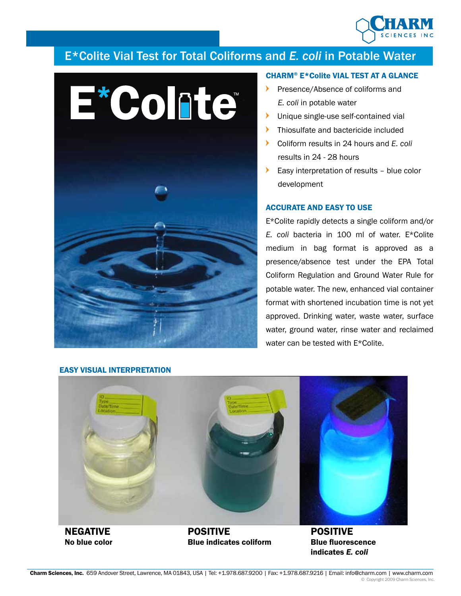

# E\*Colite Vial Test for Total Coliforms and *E. coli* in Potable Water



## CHARM® E\*Colite VIAL TEST AT A GLANCE

- Presence/Absence of coliforms and *E. coli* in potable water
- **IDUNIVERGIVE SHEET** Unique single-use self-contained vial
- **Thiosulfate and bactericide included**
- Coliform results in 24 hours and *E. coli* results in 24 - 28 hours
- Easy interpretation of results blue color development

## ACCURATE AND EASY TO USE

E\*Colite rapidly detects a single coliform and/or *E. coli* bacteria in 100 ml of water. E\*Colite medium in bag format is approved as a presence/absence test under the EPA Total Coliform Regulation and Ground Water Rule for potable water. The new, enhanced vial container format with shortened incubation time is not yet approved. Drinking water, waste water, surface water, ground water, rinse water and reclaimed water can be tested with E\*Colite.

indicates *E. coli*

#### EASY VISUAL INTERPRETATION